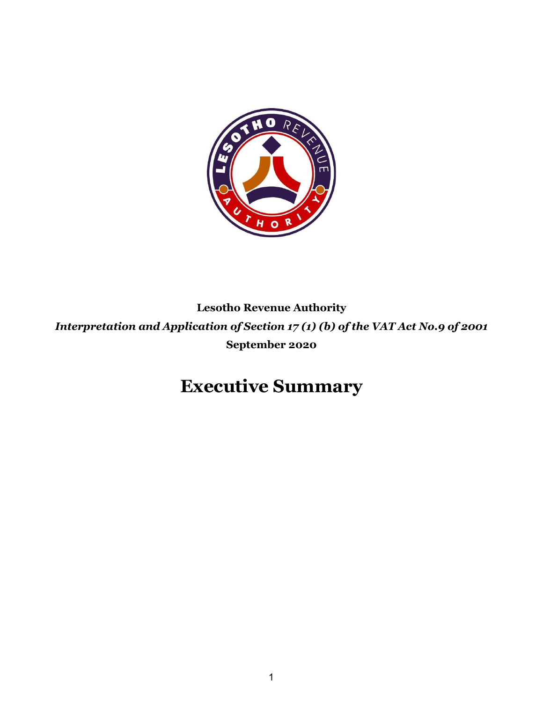

**Lesotho Revenue Authority** *Interpretation and Application of Section 17 (1) (b) of the VAT Act No.9 of 2001* **September 2020**

# **Executive Summary**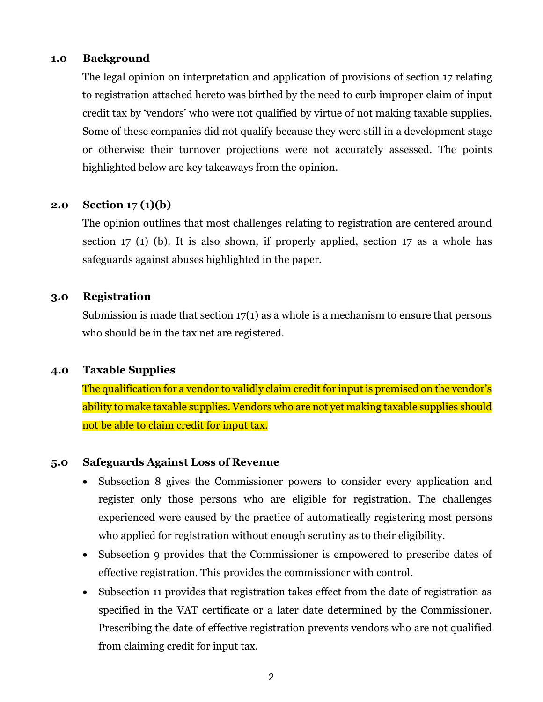### **1.0 Background**

The legal opinion on interpretation and application of provisions of section 17 relating to registration attached hereto was birthed by the need to curb improper claim of input credit tax by 'vendors' who were not qualified by virtue of not making taxable supplies. Some of these companies did not qualify because they were still in a development stage or otherwise their turnover projections were not accurately assessed. The points highlighted below are key takeaways from the opinion.

### **2.0 Section 17 (1)(b)**

The opinion outlines that most challenges relating to registration are centered around section 17 (1) (b). It is also shown, if properly applied, section 17 as a whole has safeguards against abuses highlighted in the paper.

### **3.0 Registration**

Submission is made that section 17(1) as a whole is a mechanism to ensure that persons who should be in the tax net are registered.

### **4.0 Taxable Supplies**

The qualification for a vendor to validly claim credit for input is premised on the vendor's ability to make taxable supplies. Vendors who are not yet making taxable supplies should not be able to claim credit for input tax.

### **5.0 Safeguards Against Loss of Revenue**

- Subsection 8 gives the Commissioner powers to consider every application and register only those persons who are eligible for registration. The challenges experienced were caused by the practice of automatically registering most persons who applied for registration without enough scrutiny as to their eligibility.
- Subsection 9 provides that the Commissioner is empowered to prescribe dates of effective registration. This provides the commissioner with control.
- Subsection 11 provides that registration takes effect from the date of registration as specified in the VAT certificate or a later date determined by the Commissioner. Prescribing the date of effective registration prevents vendors who are not qualified from claiming credit for input tax.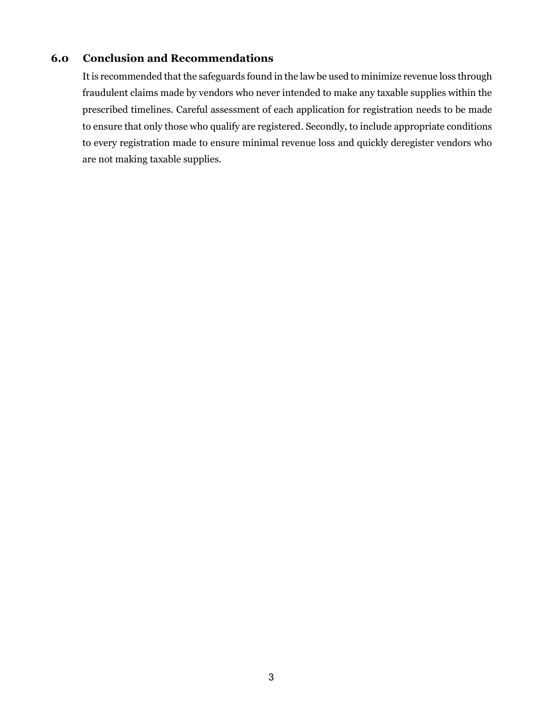### **6.0 Conclusion and Recommendations**

It is recommended that the safeguards found in the law be used to minimize revenue loss through fraudulent claims made by vendors who never intended to make any taxable supplies within the prescribed timelines. Careful assessment of each application for registration needs to be made to ensure that only those who qualify are registered. Secondly, to include appropriate conditions to every registration made to ensure minimal revenue loss and quickly deregister vendors who are not making taxable supplies.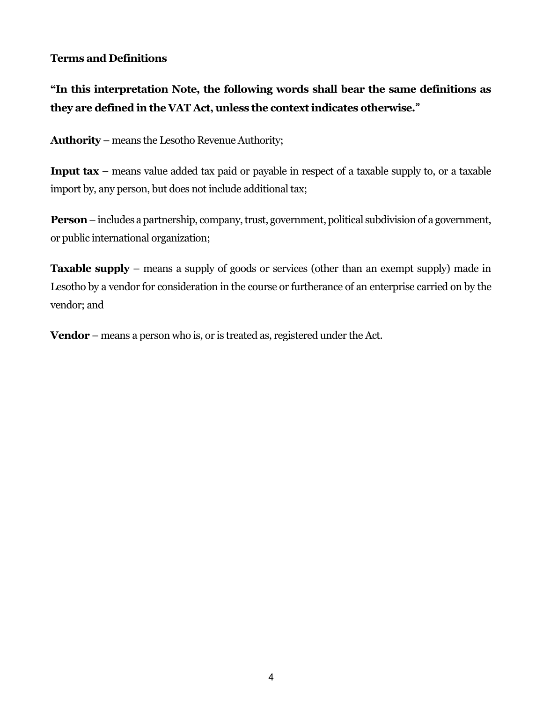## **Terms and Definitions**

# **"In this interpretation Note, the following words shall bear the same definitions as they are defined in the VAT Act, unless the context indicates otherwise.**"

**Authority** – means the Lesotho Revenue Authority;

**Input tax** – means value added tax paid or payable in respect of a taxable supply to, or a taxable import by, any person, but does not include additional tax;

**Person**–includes a partnership, company, trust, government, political subdivision of a government, or public international organization;

**Taxable supply** – means a supply of goods or services (other than an exempt supply) made in Lesotho by a vendor for consideration in the course or furtherance of an enterprise carried on by the vendor; and

**Vendor** – means a person who is, or is treated as, registered under the Act.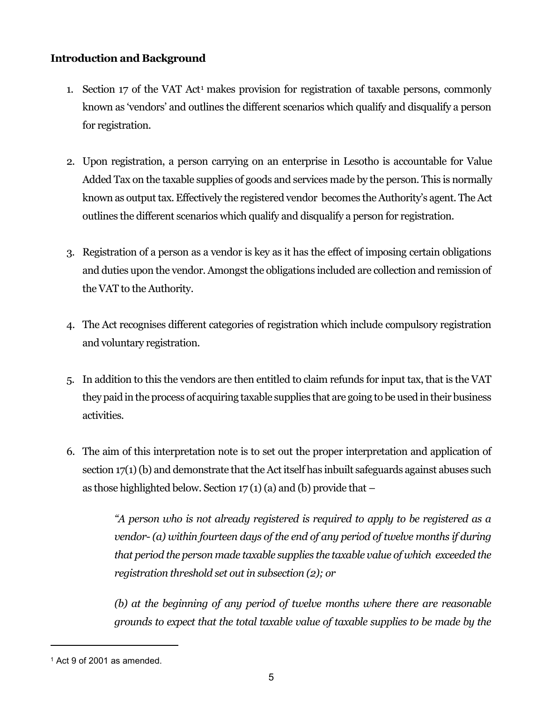## **Introduction and Background**

- 1. Section 17 of the VAT Act<sup>1</sup> makes provision for registration of taxable persons, commonly known as 'vendors' and outlines the different scenarios which qualify and disqualify a person for registration.
- 2. Upon registration, a person carrying on an enterprise in Lesotho is accountable for Value Added Tax on the taxable supplies of goods and services made by the person. This is normally known as output tax. Effectively the registered vendor becomes the Authority's agent. The Act outlines the different scenarios which qualify and disqualify a person for registration.
- 3. Registration of a person as a vendor is key as it has the effect of imposing certain obligations and duties upon the vendor. Amongst the obligations included are collection and remission of the VAT to the Authority.
- 4. The Act recognises different categories of registration which include compulsory registration and voluntary registration.
- 5. In addition to this the vendors are then entitled to claim refunds for input tax, that is the VAT they paid in the process of acquiring taxable supplies that are going to be used in their business activities.
- 6. The aim of this interpretation note is to set out the proper interpretation and application of section 17(1) (b) and demonstrate that the Act itself has inbuilt safeguards against abuses such as those highlighted below. Section  $17(1)(a)$  and (b) provide that  $-$

*"A person who is not already registered is required to apply to be registered as a vendor- (a) within fourteen days of the end of any period of twelve months if during that period the person made taxable supplies the taxable value of which exceeded the registration threshold set out in subsection (2); or*

*(b) at the beginning of any period of twelve months where there are reasonable grounds to expect that the total taxable value of taxable supplies to be made by the* 

<sup>1</sup> Act 9 of 2001 as amended.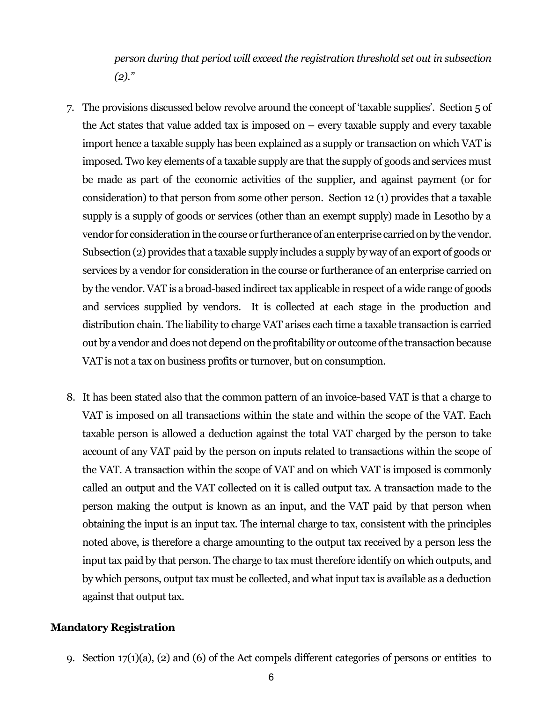*person during that period will exceed the registration threshold set out in subsection (2)."*

- 7. The provisions discussed below revolve around the concept of 'taxable supplies'. Section 5 of the Act states that value added tax is imposed on  $-$  every taxable supply and every taxable import hence a taxable supply has been explained as a supply or transaction on which VAT is imposed. Two key elements of a taxable supply are that the supply of goods and services must be made as part of the economic activities of the supplier, and against payment (or for consideration) to that person from some other person. Section 12 (1) provides that a taxable supply is a supply of goods or services (other than an exempt supply) made in Lesotho by a vendor for consideration in the course or furtherance of an enterprise carried on by the vendor. Subsection (2) provides that a taxable supply includes a supply by way of an export of goods or services by a vendor for consideration in the course or furtherance of an enterprise carried on by the vendor. VAT is a broad-based indirect tax applicable in respect of a wide range of goods and services supplied by vendors. It is collected at each stage in the production and distribution chain. The liability to charge VAT arises each time a taxable transaction is carried out by a vendor and does not dependon the profitability or outcome of the transaction because VAT is not a tax on business profits or turnover, but on consumption.
- 8. It has been stated also that the common pattern of an invoice-based VAT is that a charge to VAT is imposed on all transactions within the state and within the scope of the VAT. Each taxable person is allowed a deduction against the total VAT charged by the person to take account of any VAT paid by the person on inputs related to transactions within the scope of the VAT. A transaction within the scope of VAT and on which VAT is imposed is commonly called an output and the VAT collected on it is called output tax. A transaction made to the person making the output is known as an input, and the VAT paid by that person when obtaining the input is an input tax. The internal charge to tax, consistent with the principles noted above, is therefore a charge amounting to the output tax received by a person less the input tax paid by that person. The charge to tax must therefore identify on which outputs, and by which persons, output tax must be collected, and what input tax is available as a deduction against that output tax.

### **Mandatory Registration**

9. Section 17(1)(a), (2) and (6) of the Act compels different categories of persons or entities to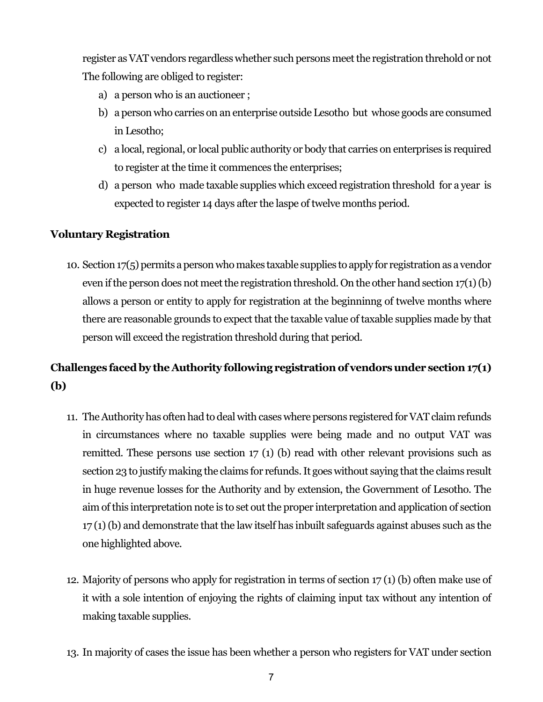register as VAT vendors regardless whether such persons meet the registration threhold or not The following are obliged to register:

- a) a person who is an auctioneer ;
- b) a person who carries on an enterprise outside Lesotho but whose goods are consumed in Lesotho;
- c) a local, regional, or local public authority or body that carries on enterprises is required to register at the time it commences the enterprises;
- d) a person who made taxable supplies which exceed registration threshold for a year is expected to register 14 days after the laspe of twelve months period.

### **Voluntary Registration**

10. Section 17(5) permits a person who makes taxable supplies to apply for registration as a vendor even if the person does not meet the registration threshold. On the other hand section 17(1) (b) allows a person or entity to apply for registration at the beginninng of twelve months where there are reasonable grounds to expect that the taxable value of taxable supplies made by that person will exceed the registration threshold during that period.

# **Challenges faced by the Authority following registration of vendors under section 17(1) (b)**

- 11. The Authority has often had to deal with cases where persons registered for VAT claim refunds in circumstances where no taxable supplies were being made and no output VAT was remitted. These persons use section 17 (1) (b) read with other relevant provisions such as section 23 to justify making the claims for refunds. It goes without saying that the claims result in huge revenue losses for the Authority and by extension, the Government of Lesotho. The aim of this interpretation note is to set out the proper interpretation and application of section 17 (1) (b) and demonstrate that the law itself has inbuilt safeguards against abuses such as the one highlighted above.
- 12. Majority of persons who apply for registration in terms of section 17 (1) (b) often make use of it with a sole intention of enjoying the rights of claiming input tax without any intention of making taxable supplies.
- 13. In majority of cases the issue has been whether a person who registers for VAT under section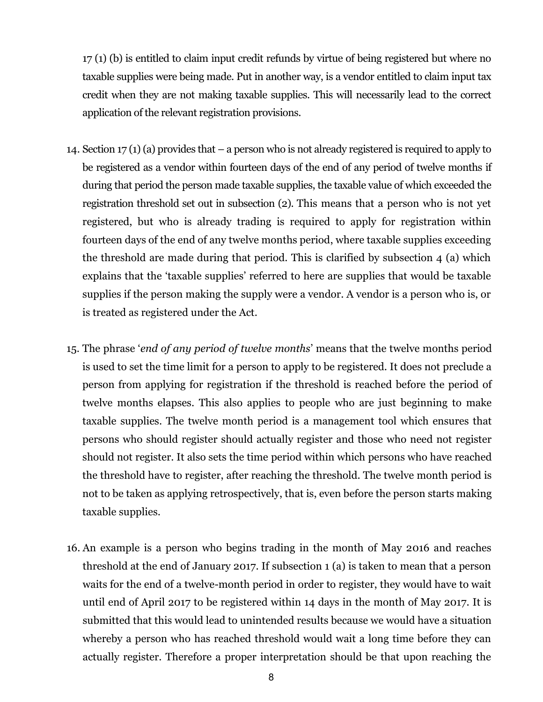17 (1) (b) is entitled to claim input credit refunds by virtue of being registered but where no taxable supplies were being made. Put in another way, is a vendor entitled to claim input tax credit when they are not making taxable supplies. This will necessarily lead to the correct application of the relevant registration provisions.

- 14. Section 17 (1) (a) provides that a person who is not already registered is required to apply to be registered as a vendor within fourteen days of the end of any period of twelve months if during that period the person made taxable supplies, the taxable value of which exceeded the registration threshold set out in subsection (2). This means that a person who is not yet registered, but who is already trading is required to apply for registration within fourteen days of the end of any twelve months period, where taxable supplies exceeding the threshold are made during that period. This is clarified by subsection 4 (a) which explains that the 'taxable supplies' referred to here are supplies that would be taxable supplies if the person making the supply were a vendor. A vendor is a person who is, or is treated as registered under the Act.
- 15. The phrase '*end of any period of twelve months*' means that the twelve months period is used to set the time limit for a person to apply to be registered. It does not preclude a person from applying for registration if the threshold is reached before the period of twelve months elapses. This also applies to people who are just beginning to make taxable supplies. The twelve month period is a management tool which ensures that persons who should register should actually register and those who need not register should not register. It also sets the time period within which persons who have reached the threshold have to register, after reaching the threshold. The twelve month period is not to be taken as applying retrospectively, that is, even before the person starts making taxable supplies.
- 16. An example is a person who begins trading in the month of May 2016 and reaches threshold at the end of January 2017. If subsection 1 (a) is taken to mean that a person waits for the end of a twelve-month period in order to register, they would have to wait until end of April 2017 to be registered within 14 days in the month of May 2017. It is submitted that this would lead to unintended results because we would have a situation whereby a person who has reached threshold would wait a long time before they can actually register. Therefore a proper interpretation should be that upon reaching the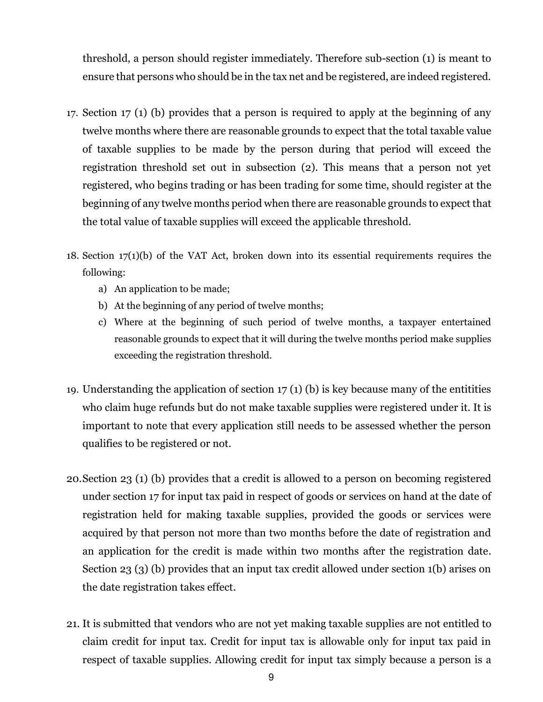threshold, a person should register immediately. Therefore sub-section (1) is meant to ensure that persons who should be in the tax net and be registered, are indeed registered.

- 17. Section 17 (1) (b) provides that a person is required to apply at the beginning of any twelve months where there are reasonable grounds to expect that the total taxable value of taxable supplies to be made by the person during that period will exceed the registration threshold set out in subsection (2). This means that a person not yet registered, who begins trading or has been trading for some time, should register at the beginning of any twelve months period when there are reasonable grounds to expect that the total value of taxable supplies will exceed the applicable threshold.
- 18. Section 17(1)(b) of the VAT Act, broken down into its essential requirements requires the following:
	- a) An application to be made;
	- b) At the beginning of any period of twelve months;
	- c) Where at the beginning of such period of twelve months, a taxpayer entertained reasonable grounds to expect that it will during the twelve months period make supplies exceeding the registration threshold.
- 19. Understanding the application of section 17 (1) (b) is key because many of the entitities who claim huge refunds but do not make taxable supplies were registered under it. It is important to note that every application still needs to be assessed whether the person qualifies to be registered or not.
- 20.Section 23 (1) (b) provides that a credit is allowed to a person on becoming registered under section 17 for input tax paid in respect of goods or services on hand at the date of registration held for making taxable supplies, provided the goods or services were acquired by that person not more than two months before the date of registration and an application for the credit is made within two months after the registration date. Section 23 (3) (b) provides that an input tax credit allowed under section 1(b) arises on the date registration takes effect.
- 21. It is submitted that vendors who are not yet making taxable supplies are not entitled to claim credit for input tax. Credit for input tax is allowable only for input tax paid in respect of taxable supplies. Allowing credit for input tax simply because a person is a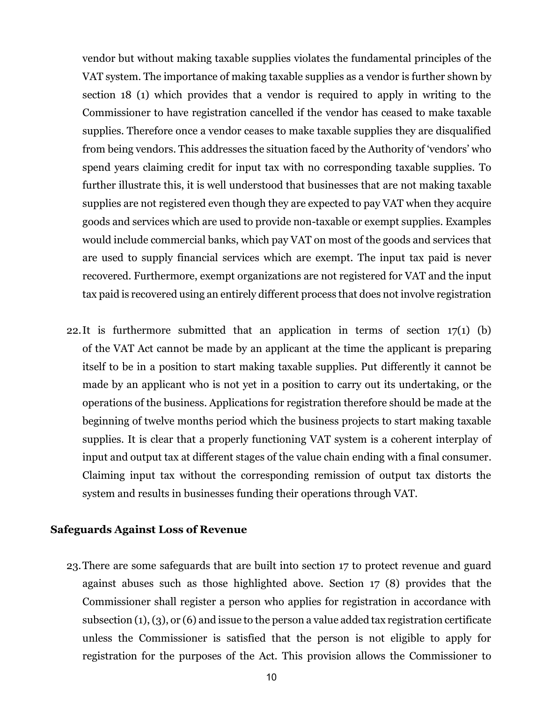vendor but without making taxable supplies violates the fundamental principles of the VAT system. The importance of making taxable supplies as a vendor is further shown by section 18 (1) which provides that a vendor is required to apply in writing to the Commissioner to have registration cancelled if the vendor has ceased to make taxable supplies. Therefore once a vendor ceases to make taxable supplies they are disqualified from being vendors. This addresses the situation faced by the Authority of 'vendors' who spend years claiming credit for input tax with no corresponding taxable supplies. To further illustrate this, it is well understood that businesses that are not making taxable supplies are not registered even though they are expected to pay VAT when they acquire goods and services which are used to provide non-taxable or exempt supplies. Examples would include commercial banks, which pay VAT on most of the goods and services that are used to supply financial services which are exempt. The input tax paid is never recovered. Furthermore, exempt organizations are not registered for VAT and the input tax paid is recovered using an entirely different process that does not involve registration

22.It is furthermore submitted that an application in terms of section 17(1) (b) of the VAT Act cannot be made by an applicant at the time the applicant is preparing itself to be in a position to start making taxable supplies. Put differently it cannot be made by an applicant who is not yet in a position to carry out its undertaking, or the operations of the business. Applications for registration therefore should be made at the beginning of twelve months period which the business projects to start making taxable supplies. It is clear that a properly functioning VAT system is a coherent interplay of input and output tax at different stages of the value chain ending with a final consumer. Claiming input tax without the corresponding remission of output tax distorts the system and results in businesses funding their operations through VAT.

#### **Safeguards Against Loss of Revenue**

23.There are some safeguards that are built into section 17 to protect revenue and guard against abuses such as those highlighted above. Section 17 (8) provides that the Commissioner shall register a person who applies for registration in accordance with subsection (1), (3), or (6) and issue to the person a value added tax registration certificate unless the Commissioner is satisfied that the person is not eligible to apply for registration for the purposes of the Act. This provision allows the Commissioner to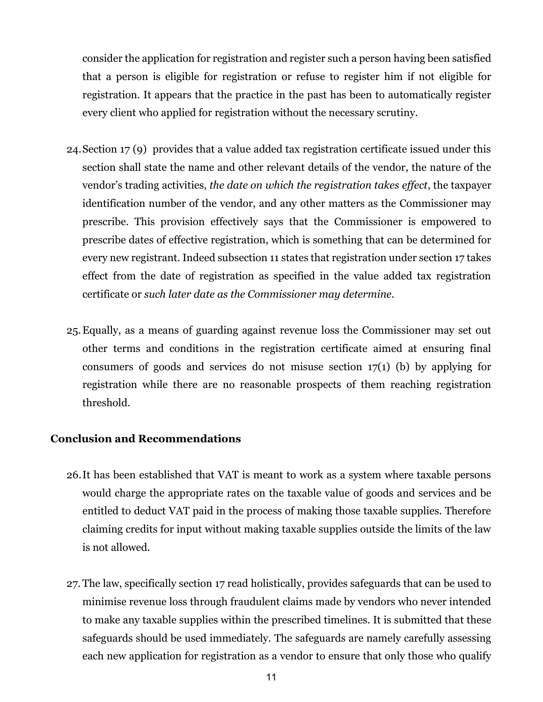consider the application for registration and register such a person having been satisfied that a person is eligible for registration or refuse to register him if not eligible for registration. It appears that the practice in the past has been to automatically register every client who applied for registration without the necessary scrutiny.

- 24.Section 17 (9) provides that a value added tax registration certificate issued under this section shall state the name and other relevant details of the vendor, the nature of the vendor's trading activities, *the date on which the registration takes effect*, the taxpayer identification number of the vendor, and any other matters as the Commissioner may prescribe. This provision effectively says that the Commissioner is empowered to prescribe dates of effective registration, which is something that can be determined for every new registrant. Indeed subsection 11 states that registration under section 17 takes effect from the date of registration as specified in the value added tax registration certificate or *such later date as the Commissioner may determine*.
- 25.Equally, as a means of guarding against revenue loss the Commissioner may set out other terms and conditions in the registration certificate aimed at ensuring final consumers of goods and services do not misuse section 17(1) (b) by applying for registration while there are no reasonable prospects of them reaching registration threshold.

#### **Conclusion and Recommendations**

- 26.It has been established that VAT is meant to work as a system where taxable persons would charge the appropriate rates on the taxable value of goods and services and be entitled to deduct VAT paid in the process of making those taxable supplies. Therefore claiming credits for input without making taxable supplies outside the limits of the law is not allowed.
- 27. The law, specifically section 17 read holistically, provides safeguards that can be used to minimise revenue loss through fraudulent claims made by vendors who never intended to make any taxable supplies within the prescribed timelines. It is submitted that these safeguards should be used immediately. The safeguards are namely carefully assessing each new application for registration as a vendor to ensure that only those who qualify